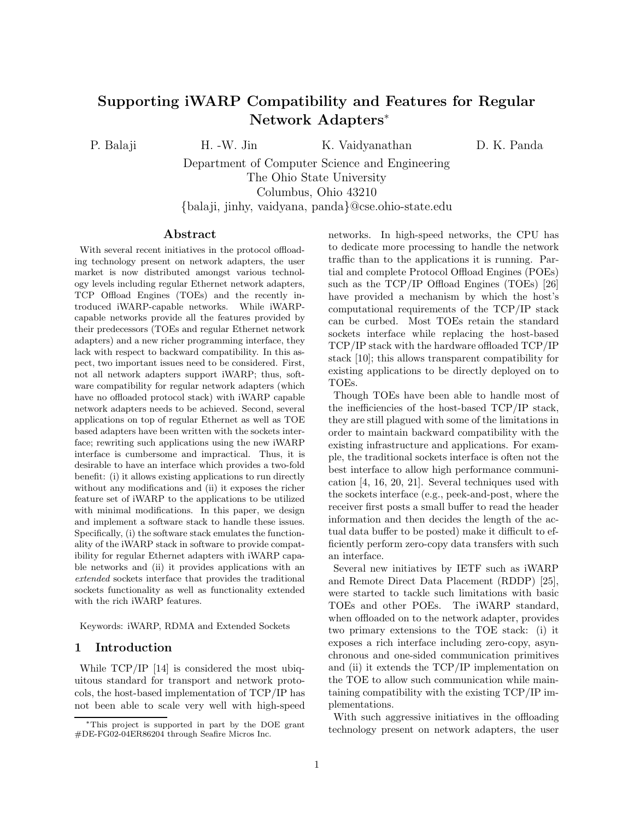# Supporting iWARP Compatibility and Features for Regular Network Adapters<sup>∗</sup>

P. Balaji H. -W. Jin K. Vaidyanathan D. K. Panda

Department of Computer Science and Engineering The Ohio State University Columbus, Ohio 43210

{balaji, jinhy, vaidyana, panda}@cse.ohio-state.edu

### Abstract

With several recent initiatives in the protocol offloading technology present on network adapters, the user market is now distributed amongst various technology levels including regular Ethernet network adapters, TCP Offload Engines (TOEs) and the recently introduced iWARP-capable networks. While iWARPcapable networks provide all the features provided by their predecessors (TOEs and regular Ethernet network adapters) and a new richer programming interface, they lack with respect to backward compatibility. In this aspect, two important issues need to be considered. First, not all network adapters support iWARP; thus, software compatibility for regular network adapters (which have no offloaded protocol stack) with iWARP capable network adapters needs to be achieved. Second, several applications on top of regular Ethernet as well as TOE based adapters have been written with the sockets interface; rewriting such applications using the new iWARP interface is cumbersome and impractical. Thus, it is desirable to have an interface which provides a two-fold benefit: (i) it allows existing applications to run directly without any modifications and (ii) it exposes the richer feature set of iWARP to the applications to be utilized with minimal modifications. In this paper, we design and implement a software stack to handle these issues. Specifically, (i) the software stack emulates the functionality of the iWARP stack in software to provide compatibility for regular Ethernet adapters with iWARP capable networks and (ii) it provides applications with an extended sockets interface that provides the traditional sockets functionality as well as functionality extended with the rich iWARP features.

Keywords: iWARP, RDMA and Extended Sockets

# 1 Introduction

While TCP/IP [14] is considered the most ubiquitous standard for transport and network protocols, the host-based implementation of TCP/IP has not been able to scale very well with high-speed

networks. In high-speed networks, the CPU has to dedicate more processing to handle the network traffic than to the applications it is running. Partial and complete Protocol Offload Engines (POEs) such as the TCP/IP Offload Engines (TOEs) [26] have provided a mechanism by which the host's computational requirements of the TCP/IP stack can be curbed. Most TOEs retain the standard sockets interface while replacing the host-based TCP/IP stack with the hardware offloaded TCP/IP stack [10]; this allows transparent compatibility for existing applications to be directly deployed on to TOEs.

Though TOEs have been able to handle most of the inefficiencies of the host-based TCP/IP stack, they are still plagued with some of the limitations in order to maintain backward compatibility with the existing infrastructure and applications. For example, the traditional sockets interface is often not the best interface to allow high performance communication [4, 16, 20, 21]. Several techniques used with the sockets interface (e.g., peek-and-post, where the receiver first posts a small buffer to read the header information and then decides the length of the actual data buffer to be posted) make it difficult to efficiently perform zero-copy data transfers with such an interface.

Several new initiatives by IETF such as iWARP and Remote Direct Data Placement (RDDP) [25], were started to tackle such limitations with basic TOEs and other POEs. The iWARP standard, when offloaded on to the network adapter, provides two primary extensions to the TOE stack: (i) it exposes a rich interface including zero-copy, asynchronous and one-sided communication primitives and (ii) it extends the TCP/IP implementation on the TOE to allow such communication while maintaining compatibility with the existing TCP/IP implementations.

With such aggressive initiatives in the offloading technology present on network adapters, the user

<sup>∗</sup>This project is supported in part by the DOE grant #DE-FG02-04ER86204 through Seafire Micros Inc.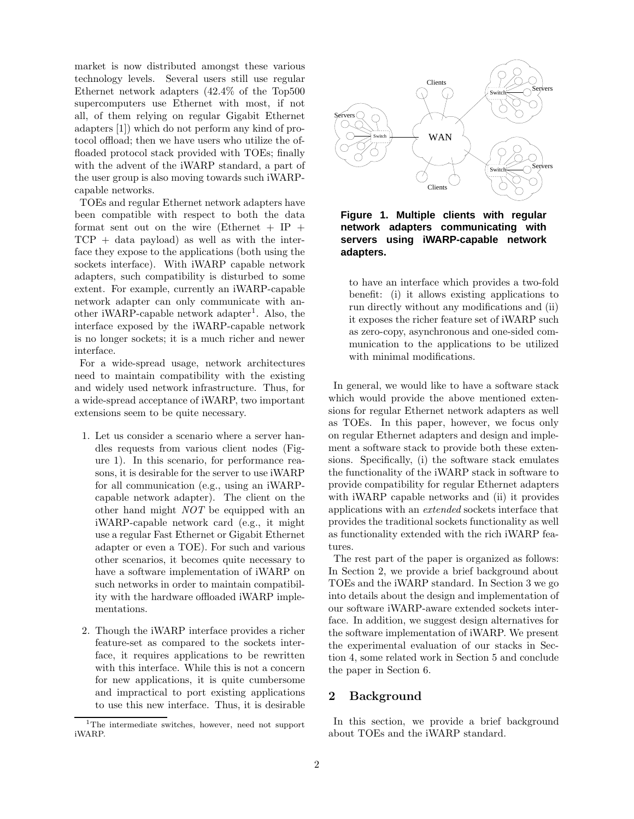market is now distributed amongst these various technology levels. Several users still use regular Ethernet network adapters (42.4% of the Top500 supercomputers use Ethernet with most, if not all, of them relying on regular Gigabit Ethernet adapters [1]) which do not perform any kind of protocol offload; then we have users who utilize the offloaded protocol stack provided with TOEs; finally with the advent of the iWARP standard, a part of the user group is also moving towards such iWARPcapable networks.

TOEs and regular Ethernet network adapters have been compatible with respect to both the data format sent out on the wire (Ethernet  $+$  IP  $+$  $TCP + data payload)$  as well as with the interface they expose to the applications (both using the sockets interface). With iWARP capable network adapters, such compatibility is disturbed to some extent. For example, currently an iWARP-capable network adapter can only communicate with another iWARP-capable network adapter<sup>1</sup>. Also, the interface exposed by the iWARP-capable network is no longer sockets; it is a much richer and newer interface.

For a wide-spread usage, network architectures need to maintain compatibility with the existing and widely used network infrastructure. Thus, for a wide-spread acceptance of iWARP, two important extensions seem to be quite necessary.

- 1. Let us consider a scenario where a server handles requests from various client nodes (Figure 1). In this scenario, for performance reasons, it is desirable for the server to use iWARP for all communication (e.g., using an iWARPcapable network adapter). The client on the other hand might NOT be equipped with an iWARP-capable network card (e.g., it might use a regular Fast Ethernet or Gigabit Ethernet adapter or even a TOE). For such and various other scenarios, it becomes quite necessary to have a software implementation of iWARP on such networks in order to maintain compatibility with the hardware offloaded iWARP implementations.
- 2. Though the iWARP interface provides a richer feature-set as compared to the sockets interface, it requires applications to be rewritten with this interface. While this is not a concern for new applications, it is quite cumbersome and impractical to port existing applications to use this new interface. Thus, it is desirable





**Figure 1. Multiple clients with regular network adapters communicating with servers using iWARP-capable network adapters.**

to have an interface which provides a two-fold benefit: (i) it allows existing applications to run directly without any modifications and (ii) it exposes the richer feature set of iWARP such as zero-copy, asynchronous and one-sided communication to the applications to be utilized with minimal modifications.

In general, we would like to have a software stack which would provide the above mentioned extensions for regular Ethernet network adapters as well as TOEs. In this paper, however, we focus only on regular Ethernet adapters and design and implement a software stack to provide both these extensions. Specifically, (i) the software stack emulates the functionality of the iWARP stack in software to provide compatibility for regular Ethernet adapters with iWARP capable networks and (ii) it provides applications with an extended sockets interface that provides the traditional sockets functionality as well as functionality extended with the rich iWARP features.

The rest part of the paper is organized as follows: In Section 2, we provide a brief background about TOEs and the iWARP standard. In Section 3 we go into details about the design and implementation of our software iWARP-aware extended sockets interface. In addition, we suggest design alternatives for the software implementation of iWARP. We present the experimental evaluation of our stacks in Section 4, some related work in Section 5 and conclude the paper in Section 6.

# 2 Background

In this section, we provide a brief background about TOEs and the iWARP standard.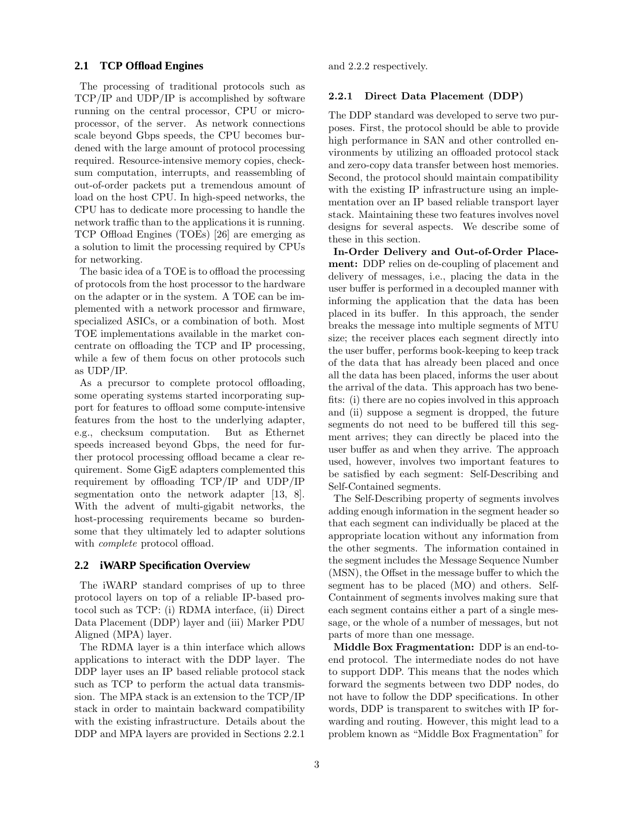### **2.1 TCP Offload Engines**

The processing of traditional protocols such as TCP/IP and UDP/IP is accomplished by software running on the central processor, CPU or microprocessor, of the server. As network connections scale beyond Gbps speeds, the CPU becomes burdened with the large amount of protocol processing required. Resource-intensive memory copies, checksum computation, interrupts, and reassembling of out-of-order packets put a tremendous amount of load on the host CPU. In high-speed networks, the CPU has to dedicate more processing to handle the network traffic than to the applications it is running. TCP Offload Engines (TOEs) [26] are emerging as a solution to limit the processing required by CPUs for networking.

The basic idea of a TOE is to offload the processing of protocols from the host processor to the hardware on the adapter or in the system. A TOE can be implemented with a network processor and firmware, specialized ASICs, or a combination of both. Most TOE implementations available in the market concentrate on offloading the TCP and IP processing, while a few of them focus on other protocols such as UDP/IP.

As a precursor to complete protocol offloading, some operating systems started incorporating support for features to offload some compute-intensive features from the host to the underlying adapter, e.g., checksum computation. But as Ethernet speeds increased beyond Gbps, the need for further protocol processing offload became a clear requirement. Some GigE adapters complemented this requirement by offloading TCP/IP and UDP/IP segmentation onto the network adapter [13, 8]. With the advent of multi-gigabit networks, the host-processing requirements became so burdensome that they ultimately led to adapter solutions with *complete* protocol offload.

#### **2.2 iWARP Specification Overview**

The iWARP standard comprises of up to three protocol layers on top of a reliable IP-based protocol such as TCP: (i) RDMA interface, (ii) Direct Data Placement (DDP) layer and (iii) Marker PDU Aligned (MPA) layer.

The RDMA layer is a thin interface which allows applications to interact with the DDP layer. The DDP layer uses an IP based reliable protocol stack such as TCP to perform the actual data transmission. The MPA stack is an extension to the TCP/IP stack in order to maintain backward compatibility with the existing infrastructure. Details about the DDP and MPA layers are provided in Sections 2.2.1

and 2.2.2 respectively.

# 2.2.1 Direct Data Placement (DDP)

The DDP standard was developed to serve two purposes. First, the protocol should be able to provide high performance in SAN and other controlled environments by utilizing an offloaded protocol stack and zero-copy data transfer between host memories. Second, the protocol should maintain compatibility with the existing IP infrastructure using an implementation over an IP based reliable transport layer stack. Maintaining these two features involves novel designs for several aspects. We describe some of these in this section.

In-Order Delivery and Out-of-Order Placement: DDP relies on de-coupling of placement and delivery of messages, i.e., placing the data in the user buffer is performed in a decoupled manner with informing the application that the data has been placed in its buffer. In this approach, the sender breaks the message into multiple segments of MTU size; the receiver places each segment directly into the user buffer, performs book-keeping to keep track of the data that has already been placed and once all the data has been placed, informs the user about the arrival of the data. This approach has two benefits: (i) there are no copies involved in this approach and (ii) suppose a segment is dropped, the future segments do not need to be buffered till this segment arrives; they can directly be placed into the user buffer as and when they arrive. The approach used, however, involves two important features to be satisfied by each segment: Self-Describing and Self-Contained segments.

The Self-Describing property of segments involves adding enough information in the segment header so that each segment can individually be placed at the appropriate location without any information from the other segments. The information contained in the segment includes the Message Sequence Number (MSN), the Offset in the message buffer to which the segment has to be placed (MO) and others. Self-Containment of segments involves making sure that each segment contains either a part of a single message, or the whole of a number of messages, but not parts of more than one message.

Middle Box Fragmentation: DDP is an end-toend protocol. The intermediate nodes do not have to support DDP. This means that the nodes which forward the segments between two DDP nodes, do not have to follow the DDP specifications. In other words, DDP is transparent to switches with IP forwarding and routing. However, this might lead to a problem known as "Middle Box Fragmentation" for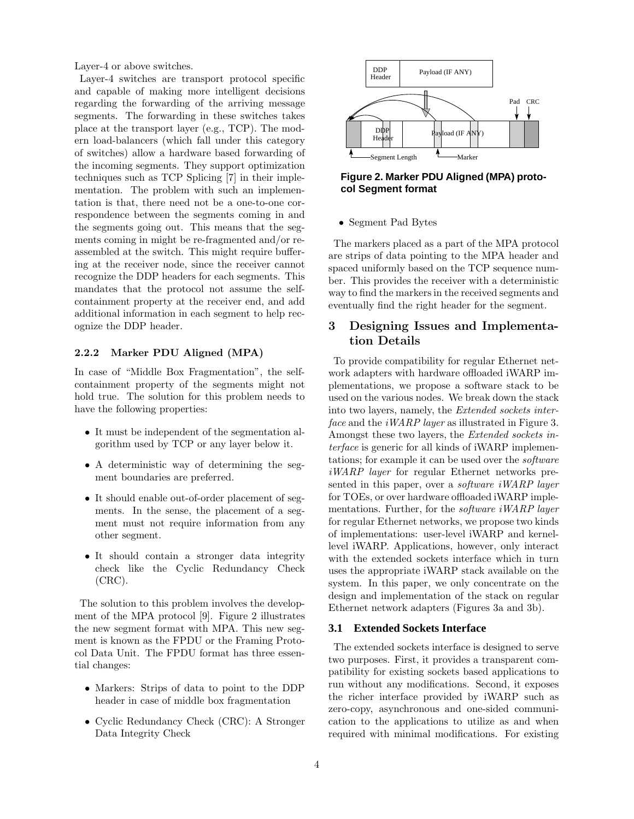Layer-4 or above switches.

Layer-4 switches are transport protocol specific and capable of making more intelligent decisions regarding the forwarding of the arriving message segments. The forwarding in these switches takes place at the transport layer (e.g., TCP). The modern load-balancers (which fall under this category of switches) allow a hardware based forwarding of the incoming segments. They support optimization techniques such as TCP Splicing [7] in their implementation. The problem with such an implementation is that, there need not be a one-to-one correspondence between the segments coming in and the segments going out. This means that the segments coming in might be re-fragmented and/or reassembled at the switch. This might require buffering at the receiver node, since the receiver cannot recognize the DDP headers for each segments. This mandates that the protocol not assume the selfcontainment property at the receiver end, and add additional information in each segment to help recognize the DDP header.

### 2.2.2 Marker PDU Aligned (MPA)

In case of "Middle Box Fragmentation", the selfcontainment property of the segments might not hold true. The solution for this problem needs to have the following properties:

- It must be independent of the segmentation algorithm used by TCP or any layer below it.
- A deterministic way of determining the segment boundaries are preferred.
- It should enable out-of-order placement of segments. In the sense, the placement of a segment must not require information from any other segment.
- It should contain a stronger data integrity check like the Cyclic Redundancy Check (CRC).

The solution to this problem involves the development of the MPA protocol [9]. Figure 2 illustrates the new segment format with MPA. This new segment is known as the FPDU or the Framing Protocol Data Unit. The FPDU format has three essential changes:

- Markers: Strips of data to point to the DDP header in case of middle box fragmentation
- Cyclic Redundancy Check (CRC): A Stronger Data Integrity Check



**Figure 2. Marker PDU Aligned (MPA) protocol Segment format**

### • Segment Pad Bytes

The markers placed as a part of the MPA protocol are strips of data pointing to the MPA header and spaced uniformly based on the TCP sequence number. This provides the receiver with a deterministic way to find the markersin the received segments and eventually find the right header for the segment.

# 3 Designing Issues and Implementation Details

To provide compatibility for regular Ethernet network adapters with hardware offloaded iWARP implementations, we propose a software stack to be used on the various nodes. We break down the stack into two layers, namely, the Extended sockets interface and the *iWARP layer* as illustrated in Figure 3. Amongst these two layers, the Extended sockets interface is generic for all kinds of iWARP implementations; for example it can be used over the software iWARP layer for regular Ethernet networks presented in this paper, over a *software iWARP layer* for TOEs, or over hardware offloaded iWARP implementations. Further, for the software iWARP layer for regular Ethernet networks, we propose two kinds of implementations: user-level iWARP and kernellevel iWARP. Applications, however, only interact with the extended sockets interface which in turn uses the appropriate iWARP stack available on the system. In this paper, we only concentrate on the design and implementation of the stack on regular Ethernet network adapters (Figures 3a and 3b).

### **3.1 Extended Sockets Interface**

The extended sockets interface is designed to serve two purposes. First, it provides a transparent compatibility for existing sockets based applications to run without any modifications. Second, it exposes the richer interface provided by iWARP such as zero-copy, asynchronous and one-sided communication to the applications to utilize as and when required with minimal modifications. For existing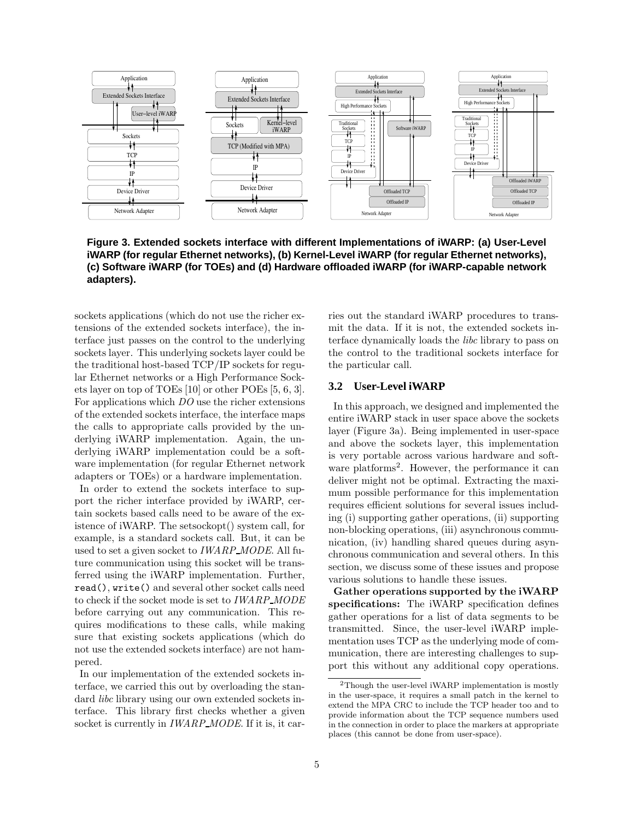

**Figure 3. Extended sockets interface with different Implementations of iWARP: (a) User-Level iWARP (for regular Ethernet networks), (b) Kernel-Level iWARP (for regular Ethernet networks), (c) Software iWARP (for TOEs) and (d) Hardware offloaded iWARP (for iWARP-capable network adapters).**

sockets applications (which do not use the richer extensions of the extended sockets interface), the interface just passes on the control to the underlying sockets layer. This underlying sockets layer could be the traditional host-based TCP/IP sockets for regular Ethernet networks or a High Performance Sockets layer on top of TOEs [10] or other POEs [5, 6, 3]. For applications which DO use the richer extensions of the extended sockets interface, the interface maps the calls to appropriate calls provided by the underlying iWARP implementation. Again, the underlying iWARP implementation could be a software implementation (for regular Ethernet network adapters or TOEs) or a hardware implementation.

In order to extend the sockets interface to support the richer interface provided by iWARP, certain sockets based calls need to be aware of the existence of iWARP. The setsockopt() system call, for example, is a standard sockets call. But, it can be used to set a given socket to IWARP MODE. All future communication using this socket will be transferred using the iWARP implementation. Further, read(), write() and several other socket calls need to check if the socket mode is set to IWARP MODE before carrying out any communication. This requires modifications to these calls, while making sure that existing sockets applications (which do not use the extended sockets interface) are not hampered.

In our implementation of the extended sockets interface, we carried this out by overloading the standard *libc* library using our own extended sockets interface. This library first checks whether a given socket is currently in *IWARP\_MODE*. If it is, it carries out the standard iWARP procedures to transmit the data. If it is not, the extended sockets interface dynamically loads the libc library to pass on the control to the traditional sockets interface for the particular call.

### **3.2 User-Level iWARP**

In this approach, we designed and implemented the entire iWARP stack in user space above the sockets layer (Figure 3a). Being implemented in user-space and above the sockets layer, this implementation is very portable across various hardware and software platforms<sup>2</sup>. However, the performance it can deliver might not be optimal. Extracting the maximum possible performance for this implementation requires efficient solutions for several issues including (i) supporting gather operations, (ii) supporting non-blocking operations, (iii) asynchronous communication, (iv) handling shared queues during asynchronous communication and several others. In this section, we discuss some of these issues and propose various solutions to handle these issues.

Gather operations supported by the iWARP specifications: The iWARP specification defines gather operations for a list of data segments to be transmitted. Since, the user-level iWARP implementation uses TCP as the underlying mode of communication, there are interesting challenges to support this without any additional copy operations.

 $2$ Though the user-level iWARP implementation is mostly in the user-space, it requires a small patch in the kernel to extend the MPA CRC to include the TCP header too and to provide information about the TCP sequence numbers used in the connection in order to place the markers at appropriate places (this cannot be done from user-space).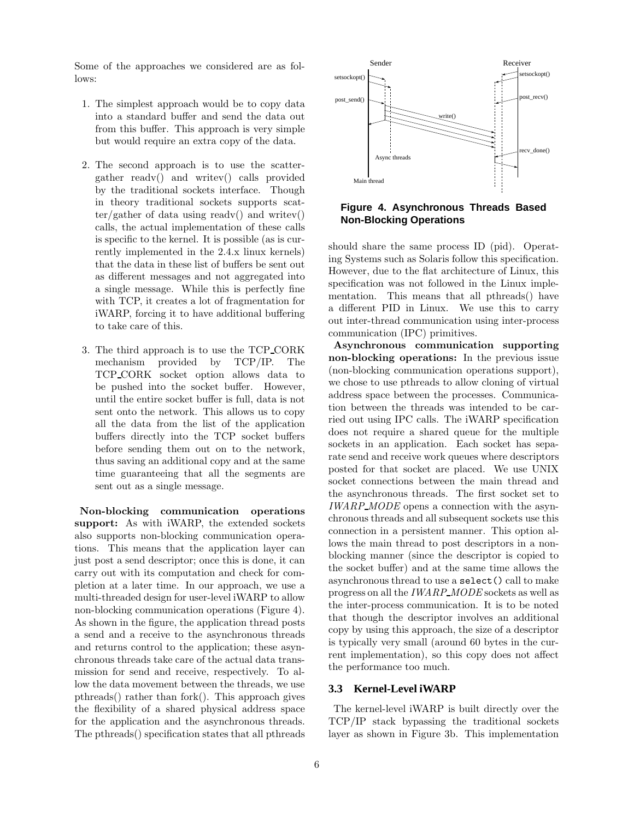Some of the approaches we considered are as follows:

- 1. The simplest approach would be to copy data into a standard buffer and send the data out from this buffer. This approach is very simple but would require an extra copy of the data.
- 2. The second approach is to use the scattergather readv() and writev() calls provided by the traditional sockets interface. Though in theory traditional sockets supports scatter/gather of data using readv() and writev() calls, the actual implementation of these calls is specific to the kernel. It is possible (as is currently implemented in the 2.4.x linux kernels) that the data in these list of buffers be sent out as different messages and not aggregated into a single message. While this is perfectly fine with TCP, it creates a lot of fragmentation for iWARP, forcing it to have additional buffering to take care of this.
- 3. The third approach is to use the TCP CORK mechanism provided by TCP/IP. The TCP CORK socket option allows data to be pushed into the socket buffer. However, until the entire socket buffer is full, data is not sent onto the network. This allows us to copy all the data from the list of the application buffers directly into the TCP socket buffers before sending them out on to the network, thus saving an additional copy and at the same time guaranteeing that all the segments are sent out as a single message.

Non-blocking communication operations support: As with iWARP, the extended sockets also supports non-blocking communication operations. This means that the application layer can just post a send descriptor; once this is done, it can carry out with its computation and check for completion at a later time. In our approach, we use a multi-threaded design for user-level iWARP to allow non-blocking communication operations (Figure 4). As shown in the figure, the application thread posts a send and a receive to the asynchronous threads and returns control to the application; these asynchronous threads take care of the actual data transmission for send and receive, respectively. To allow the data movement between the threads, we use pthreads() rather than fork(). This approach gives the flexibility of a shared physical address space for the application and the asynchronous threads. The pthreads() specification states that all pthreads



**Figure 4. Asynchronous Threads Based Non-Blocking Operations**

should share the same process ID (pid). Operating Systems such as Solaris follow this specification. However, due to the flat architecture of Linux, this specification was not followed in the Linux implementation. This means that all pthreads() have a different PID in Linux. We use this to carry out inter-thread communication using inter-process communication (IPC) primitives.

Asynchronous communication supporting non-blocking operations: In the previous issue (non-blocking communication operations support), we chose to use pthreads to allow cloning of virtual address space between the processes. Communication between the threads was intended to be carried out using IPC calls. The iWARP specification does not require a shared queue for the multiple sockets in an application. Each socket has separate send and receive work queues where descriptors posted for that socket are placed. We use UNIX socket connections between the main thread and the asynchronous threads. The first socket set to IWARP\_MODE opens a connection with the asynchronous threads and all subsequent sockets use this connection in a persistent manner. This option allows the main thread to post descriptors in a nonblocking manner (since the descriptor is copied to the socket buffer) and at the same time allows the asynchronous thread to use a select() call to make progress on all the IWARP MODE sockets as well as the inter-process communication. It is to be noted that though the descriptor involves an additional copy by using this approach, the size of a descriptor is typically very small (around 60 bytes in the current implementation), so this copy does not affect the performance too much.

## **3.3 Kernel-Level iWARP**

The kernel-level iWARP is built directly over the TCP/IP stack bypassing the traditional sockets layer as shown in Figure 3b. This implementation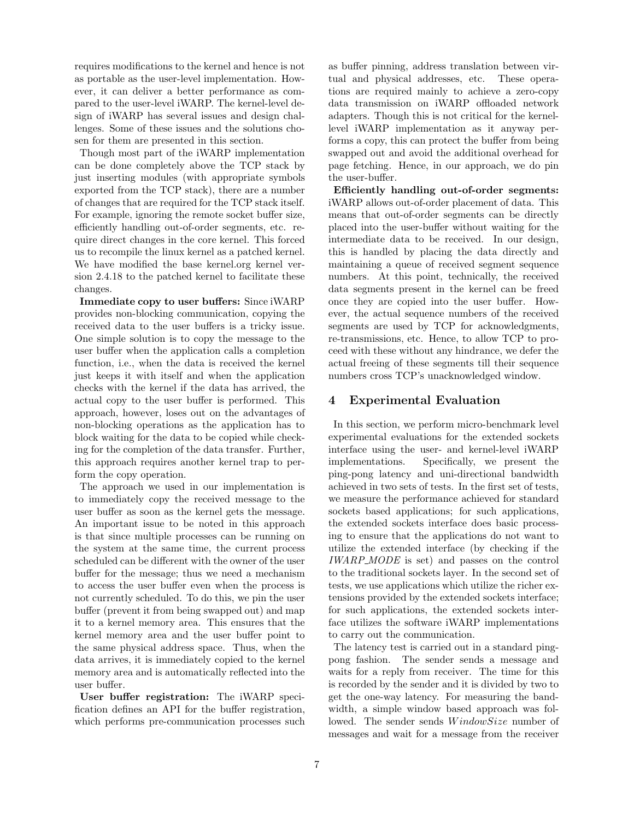requires modifications to the kernel and hence is not as portable as the user-level implementation. However, it can deliver a better performance as compared to the user-level iWARP. The kernel-level design of iWARP has several issues and design challenges. Some of these issues and the solutions chosen for them are presented in this section.

Though most part of the iWARP implementation can be done completely above the TCP stack by just inserting modules (with appropriate symbols exported from the TCP stack), there are a number of changes that are required for the TCP stack itself. For example, ignoring the remote socket buffer size, efficiently handling out-of-order segments, etc. require direct changes in the core kernel. This forced us to recompile the linux kernel as a patched kernel. We have modified the base kernel.org kernel version 2.4.18 to the patched kernel to facilitate these changes.

Immediate copy to user buffers: Since iWARP provides non-blocking communication, copying the received data to the user buffers is a tricky issue. One simple solution is to copy the message to the user buffer when the application calls a completion function, i.e., when the data is received the kernel just keeps it with itself and when the application checks with the kernel if the data has arrived, the actual copy to the user buffer is performed. This approach, however, loses out on the advantages of non-blocking operations as the application has to block waiting for the data to be copied while checking for the completion of the data transfer. Further, this approach requires another kernel trap to perform the copy operation.

The approach we used in our implementation is to immediately copy the received message to the user buffer as soon as the kernel gets the message. An important issue to be noted in this approach is that since multiple processes can be running on the system at the same time, the current process scheduled can be different with the owner of the user buffer for the message; thus we need a mechanism to access the user buffer even when the process is not currently scheduled. To do this, we pin the user buffer (prevent it from being swapped out) and map it to a kernel memory area. This ensures that the kernel memory area and the user buffer point to the same physical address space. Thus, when the data arrives, it is immediately copied to the kernel memory area and is automatically reflected into the user buffer.

User buffer registration: The iWARP specification defines an API for the buffer registration, which performs pre-communication processes such

as buffer pinning, address translation between virtual and physical addresses, etc. These operations are required mainly to achieve a zero-copy data transmission on iWARP offloaded network adapters. Though this is not critical for the kernellevel iWARP implementation as it anyway performs a copy, this can protect the buffer from being swapped out and avoid the additional overhead for page fetching. Hence, in our approach, we do pin the user-buffer.

Efficiently handling out-of-order segments: iWARP allows out-of-order placement of data. This means that out-of-order segments can be directly placed into the user-buffer without waiting for the intermediate data to be received. In our design, this is handled by placing the data directly and maintaining a queue of received segment sequence numbers. At this point, technically, the received data segments present in the kernel can be freed once they are copied into the user buffer. However, the actual sequence numbers of the received segments are used by TCP for acknowledgments, re-transmissions, etc. Hence, to allow TCP to proceed with these without any hindrance, we defer the actual freeing of these segments till their sequence numbers cross TCP's unacknowledged window.

# 4 Experimental Evaluation

In this section, we perform micro-benchmark level experimental evaluations for the extended sockets interface using the user- and kernel-level iWARP implementations. Specifically, we present the ping-pong latency and uni-directional bandwidth achieved in two sets of tests. In the first set of tests, we measure the performance achieved for standard sockets based applications; for such applications, the extended sockets interface does basic processing to ensure that the applications do not want to utilize the extended interface (by checking if the IWARP MODE is set) and passes on the control to the traditional sockets layer. In the second set of tests, we use applications which utilize the richer extensions provided by the extended sockets interface; for such applications, the extended sockets interface utilizes the software iWARP implementations to carry out the communication.

The latency test is carried out in a standard pingpong fashion. The sender sends a message and waits for a reply from receiver. The time for this is recorded by the sender and it is divided by two to get the one-way latency. For measuring the bandwidth, a simple window based approach was followed. The sender sends  $WindowSize$  number of messages and wait for a message from the receiver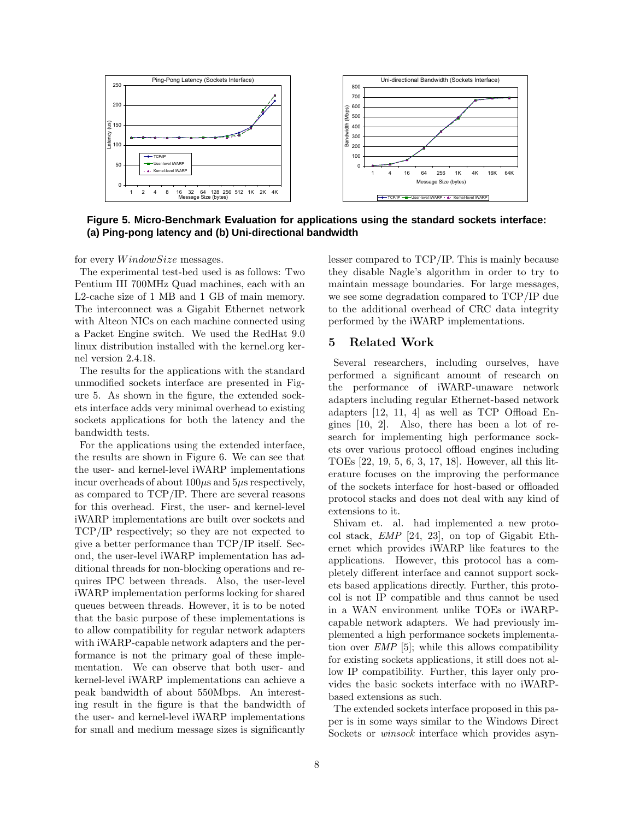

**Figure 5. Micro-Benchmark Evaluation for applications using the standard sockets interface: (a) Ping-pong latency and (b) Uni-directional bandwidth**

for every *WindowSize* messages.

The experimental test-bed used is as follows: Two Pentium III 700MHz Quad machines, each with an L2-cache size of 1 MB and 1 GB of main memory. The interconnect was a Gigabit Ethernet network with Alteon NICs on each machine connected using a Packet Engine switch. We used the RedHat 9.0 linux distribution installed with the kernel.org kernel version 2.4.18.

The results for the applications with the standard unmodified sockets interface are presented in Figure 5. As shown in the figure, the extended sockets interface adds very minimal overhead to existing sockets applications for both the latency and the bandwidth tests.

For the applications using the extended interface, the results are shown in Figure 6. We can see that the user- and kernel-level iWARP implementations incur overheads of about  $100\mu s$  and  $5\mu s$  respectively, as compared to TCP/IP. There are several reasons for this overhead. First, the user- and kernel-level iWARP implementations are built over sockets and TCP/IP respectively; so they are not expected to give a better performance than TCP/IP itself. Second, the user-level iWARP implementation has additional threads for non-blocking operations and requires IPC between threads. Also, the user-level iWARP implementation performs locking for shared queues between threads. However, it is to be noted that the basic purpose of these implementations is to allow compatibility for regular network adapters with iWARP-capable network adapters and the performance is not the primary goal of these implementation. We can observe that both user- and kernel-level iWARP implementations can achieve a peak bandwidth of about 550Mbps. An interesting result in the figure is that the bandwidth of the user- and kernel-level iWARP implementations for small and medium message sizes is significantly

lesser compared to TCP/IP. This is mainly because they disable Nagle's algorithm in order to try to maintain message boundaries. For large messages, we see some degradation compared to TCP/IP due to the additional overhead of CRC data integrity performed by the iWARP implementations.

## 5 Related Work

Several researchers, including ourselves, have performed a significant amount of research on the performance of iWARP-unaware network adapters including regular Ethernet-based network adapters [12, 11, 4] as well as TCP Offload Engines [10, 2]. Also, there has been a lot of research for implementing high performance sockets over various protocol offload engines including TOEs [22, 19, 5, 6, 3, 17, 18]. However, all this literature focuses on the improving the performance of the sockets interface for host-based or offloaded protocol stacks and does not deal with any kind of extensions to it.

Shivam et. al. had implemented a new protocol stack, EMP [24, 23], on top of Gigabit Ethernet which provides iWARP like features to the applications. However, this protocol has a completely different interface and cannot support sockets based applications directly. Further, this protocol is not IP compatible and thus cannot be used in a WAN environment unlike TOEs or iWARPcapable network adapters. We had previously implemented a high performance sockets implementation over  $EMP$  [5]; while this allows compatibility for existing sockets applications, it still does not allow IP compatibility. Further, this layer only provides the basic sockets interface with no iWARPbased extensions as such.

The extended sockets interface proposed in this paper is in some ways similar to the Windows Direct Sockets or winsock interface which provides asyn-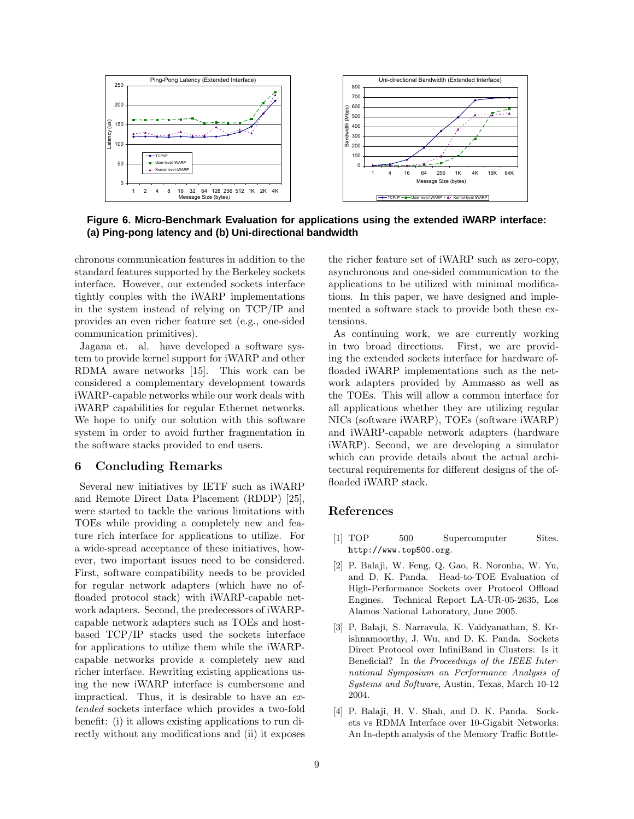

**Figure 6. Micro-Benchmark Evaluation for applications using the extended iWARP interface: (a) Ping-pong latency and (b) Uni-directional bandwidth**

chronous communication features in addition to the standard features supported by the Berkeley sockets interface. However, our extended sockets interface tightly couples with the iWARP implementations in the system instead of relying on TCP/IP and provides an even richer feature set (e.g., one-sided communication primitives).

Jagana et. al. have developed a software system to provide kernel support for iWARP and other RDMA aware networks [15]. This work can be considered a complementary development towards iWARP-capable networks while our work deals with iWARP capabilities for regular Ethernet networks. We hope to unify our solution with this software system in order to avoid further fragmentation in the software stacks provided to end users.

# 6 Concluding Remarks

Several new initiatives by IETF such as iWARP and Remote Direct Data Placement (RDDP) [25], were started to tackle the various limitations with TOEs while providing a completely new and feature rich interface for applications to utilize. For a wide-spread acceptance of these initiatives, however, two important issues need to be considered. First, software compatibility needs to be provided for regular network adapters (which have no offloaded protocol stack) with iWARP-capable network adapters. Second, the predecessors of iWARPcapable network adapters such as TOEs and hostbased TCP/IP stacks used the sockets interface for applications to utilize them while the iWARPcapable networks provide a completely new and richer interface. Rewriting existing applications using the new iWARP interface is cumbersome and impractical. Thus, it is desirable to have an extended sockets interface which provides a two-fold benefit: (i) it allows existing applications to run directly without any modifications and (ii) it exposes

the richer feature set of iWARP such as zero-copy, asynchronous and one-sided communication to the applications to be utilized with minimal modifications. In this paper, we have designed and implemented a software stack to provide both these extensions.

As continuing work, we are currently working in two broad directions. First, we are providing the extended sockets interface for hardware offloaded iWARP implementations such as the network adapters provided by Ammasso as well as the TOEs. This will allow a common interface for all applications whether they are utilizing regular NICs (software iWARP), TOEs (software iWARP) and iWARP-capable network adapters (hardware iWARP). Second, we are developing a simulator which can provide details about the actual architectural requirements for different designs of the offloaded iWARP stack.

## References

- [1] TOP 500 Supercomputer Sites. http://www.top500.org.
- [2] P. Balaji, W. Feng, Q. Gao, R. Noronha, W. Yu, and D. K. Panda. Head-to-TOE Evaluation of High-Performance Sockets over Protocol Offload Engines. Technical Report LA-UR-05-2635, Los Alamos National Laboratory, June 2005.
- [3] P. Balaji, S. Narravula, K. Vaidyanathan, S. Krishnamoorthy, J. Wu, and D. K. Panda. Sockets Direct Protocol over InfiniBand in Clusters: Is it Beneficial? In the Proceedings of the IEEE International Symposium on Performance Analysis of Systems and Software, Austin, Texas, March 10-12 2004.
- [4] P. Balaji, H. V. Shah, and D. K. Panda. Sockets vs RDMA Interface over 10-Gigabit Networks: An In-depth analysis of the Memory Traffic Bottle-